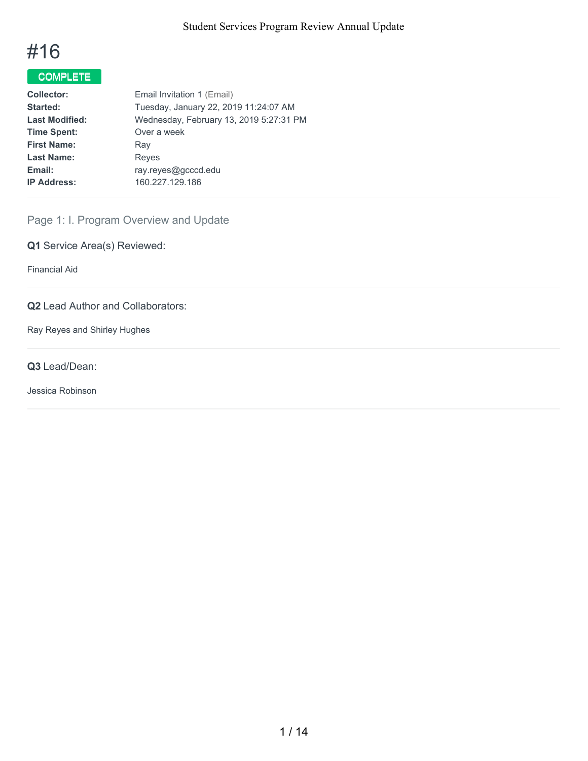# #16

# COMPLETE

| <b>Collector:</b>     | Email Invitation 1 (Email)              |
|-----------------------|-----------------------------------------|
| Started:              | Tuesday, January 22, 2019 11:24:07 AM   |
| <b>Last Modified:</b> | Wednesday, February 13, 2019 5:27:31 PM |
| <b>Time Spent:</b>    | Over a week                             |
| <b>First Name:</b>    | Ray                                     |
| <b>Last Name:</b>     | Reyes                                   |
| Email:                | ray.reyes@gcccd.edu                     |
| <b>IP Address:</b>    | 160.227.129.186                         |
|                       |                                         |

# Page 1: I. Program Overview and Update

**Q1** Service Area(s) Reviewed:

Financial Aid

## **Q2** Lead Author and Collaborators:

Ray Reyes and Shirley Hughes

## **Q3** Lead/Dean:

Jessica Robinson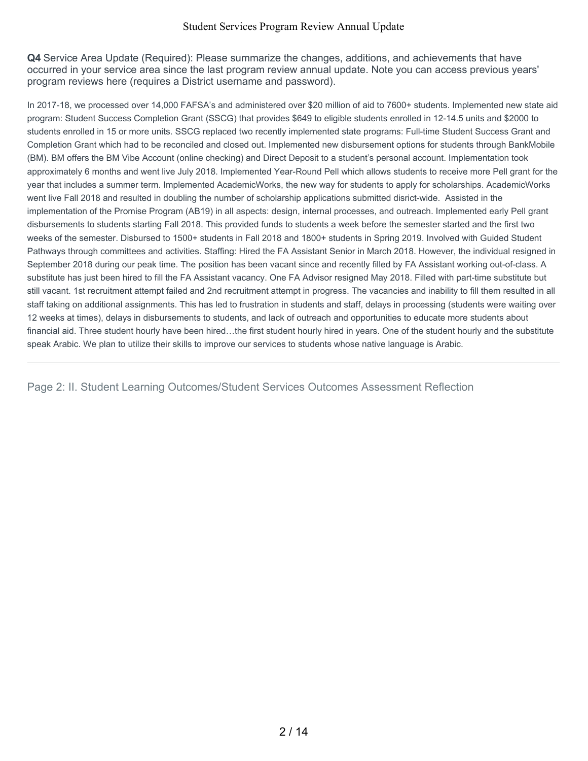**Q4** Service Area Update (Required): Please summarize the changes, additions, and achievements that have occurred in your service area since the last program review annual update. Note you can access previous years' program reviews here (requires a District username and password).

In 2017-18, we processed over 14,000 FAFSA's and administered over \$20 million of aid to 7600+ students. Implemented new state aid program: Student Success Completion Grant (SSCG) that provides \$649 to eligible students enrolled in 12-14.5 units and \$2000 to students enrolled in 15 or more units. SSCG replaced two recently implemented state programs: Full-time Student Success Grant and Completion Grant which had to be reconciled and closed out. Implemented new disbursement options for students through BankMobile (BM). BM offers the BM Vibe Account (online checking) and Direct Deposit to a student's personal account. Implementation took approximately 6 months and went live July 2018. Implemented Year-Round Pell which allows students to receive more Pell grant for the year that includes a summer term. Implemented AcademicWorks, the new way for students to apply for scholarships. AcademicWorks went live Fall 2018 and resulted in doubling the number of scholarship applications submitted disrict-wide. Assisted in the implementation of the Promise Program (AB19) in all aspects: design, internal processes, and outreach. Implemented early Pell grant disbursements to students starting Fall 2018. This provided funds to students a week before the semester started and the first two weeks of the semester. Disbursed to 1500+ students in Fall 2018 and 1800+ students in Spring 2019. Involved with Guided Student Pathways through committees and activities. Staffing: Hired the FA Assistant Senior in March 2018. However, the individual resigned in September 2018 during our peak time. The position has been vacant since and recently filled by FA Assistant working out-of-class. A substitute has just been hired to fill the FA Assistant vacancy. One FA Advisor resigned May 2018. Filled with part-time substitute but still vacant. 1st recruitment attempt failed and 2nd recruitment attempt in progress. The vacancies and inability to fill them resulted in all staff taking on additional assignments. This has led to frustration in students and staff, delays in processing (students were waiting over 12 weeks at times), delays in disbursements to students, and lack of outreach and opportunities to educate more students about financial aid. Three student hourly have been hired…the first student hourly hired in years. One of the student hourly and the substitute speak Arabic. We plan to utilize their skills to improve our services to students whose native language is Arabic.

Page 2: II. Student Learning Outcomes/Student Services Outcomes Assessment Reflection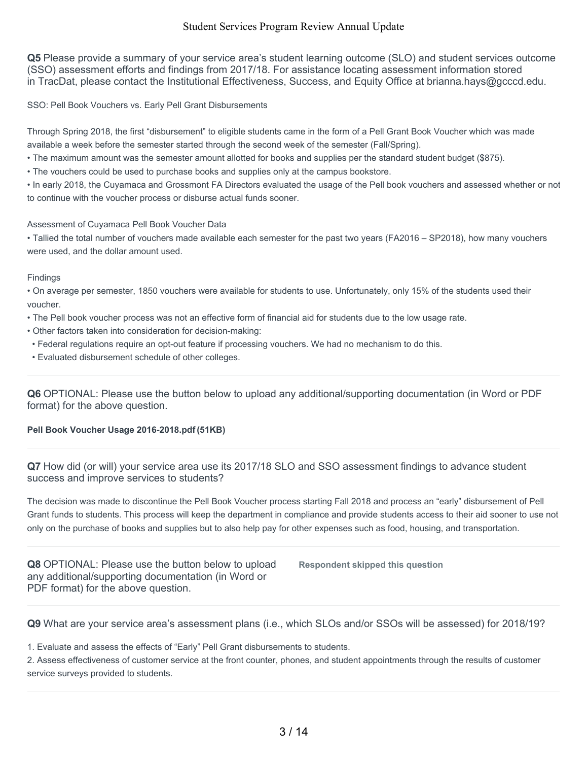**Q5** Please provide a summary of your service area's student learning outcome (SLO) and student services outcome (SSO) assessment efforts and findings from 2017/18. For assistance locating assessment information stored in TracDat, please contact the Institutional Effectiveness, Success, and Equity Office at brianna.hays@gcccd.edu.

SSO: Pell Book Vouchers vs. Early Pell Grant Disbursements

Through Spring 2018, the first "disbursement" to eligible students came in the form of a Pell Grant Book Voucher which was made available a week before the semester started through the second week of the semester (Fall/Spring).

• The maximum amount was the semester amount allotted for books and supplies per the standard student budget (\$875).

• The vouchers could be used to purchase books and supplies only at the campus bookstore.

• In early 2018, the Cuyamaca and Grossmont FA Directors evaluated the usage of the Pell book vouchers and assessed whether or not to continue with the voucher process or disburse actual funds sooner.

#### Assessment of Cuyamaca Pell Book Voucher Data

• Tallied the total number of vouchers made available each semester for the past two years (FA2016 – SP2018), how many vouchers were used, and the dollar amount used.

#### Findings

• On average per semester, 1850 vouchers were available for students to use. Unfortunately, only 15% of the students used their voucher.

- The Pell book voucher process was not an effective form of financial aid for students due to the low usage rate.
- Other factors taken into consideration for decision-making:
- Federal regulations require an opt-out feature if processing vouchers. We had no mechanism to do this.
- Evaluated disbursement schedule of other colleges.

**Q6** OPTIONAL: Please use the button below to upload any additional/supporting documentation (in Word or PDF format) for the above question.

#### **Pell Book Voucher Usage 2016-2018.pdf (51KB)**

**Q7** How did (or will) your service area use its 2017/18 SLO and SSO assessment findings to advance student success and improve services to students?

The decision was made to discontinue the Pell Book Voucher process starting Fall 2018 and process an "early" disbursement of Pell Grant funds to students. This process will keep the department in compliance and provide students access to their aid sooner to use not only on the purchase of books and supplies but to also help pay for other expenses such as food, housing, and transportation.

**Q8** OPTIONAL: Please use the button below to upload any additional/supporting documentation (in Word or PDF format) for the above question.

**Respondent skipped this question**

**Q9** What are your service area's assessment plans (i.e., which SLOs and/or SSOs will be assessed) for 2018/19?

1. Evaluate and assess the effects of "Early" Pell Grant disbursements to students.

2. Assess effectiveness of customer service at the front counter, phones, and student appointments through the results of customer service surveys provided to students.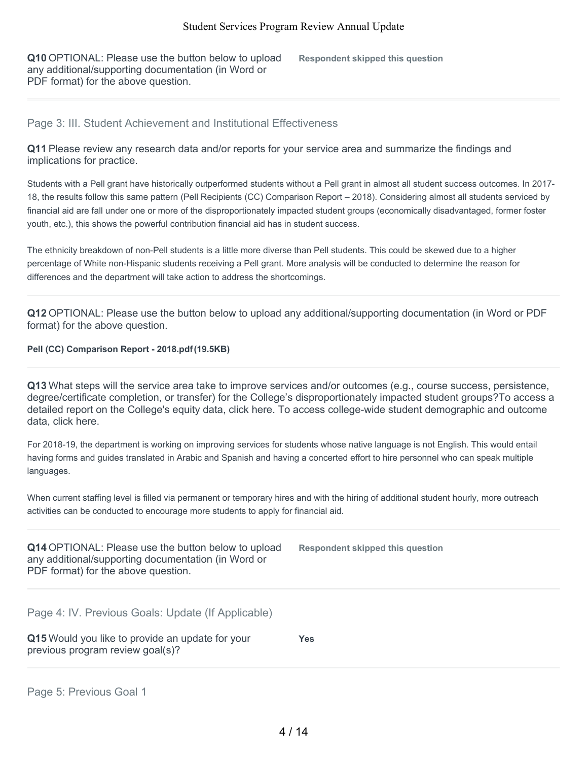**Q10** OPTIONAL: Please use the button below to upload any additional/supporting documentation (in Word or PDF format) for the above question.

**Respondent skipped this question**

## Page 3: III. Student Achievement and Institutional Effectiveness

**Q11** Please review any research data and/or reports for your service area and summarize the findings and implications for practice.

Students with a Pell grant have historically outperformed students without a Pell grant in almost all student success outcomes. In 2017- 18, the results follow this same pattern (Pell Recipients (CC) Comparison Report – 2018). Considering almost all students serviced by financial aid are fall under one or more of the disproportionately impacted student groups (economically disadvantaged, former foster youth, etc.), this shows the powerful contribution financial aid has in student success.

The ethnicity breakdown of non-Pell students is a little more diverse than Pell students. This could be skewed due to a higher percentage of White non-Hispanic students receiving a Pell grant. More analysis will be conducted to determine the reason for differences and the department will take action to address the shortcomings.

**Q12** OPTIONAL: Please use the button below to upload any additional/supporting documentation (in Word or PDF format) for the above question.

#### **Pell (CC) Comparison Report - 2018.pdf(19.5KB)**

**Q13** What steps will the service area take to improve services and/or outcomes (e.g., course success, persistence, degree/certificate completion, or transfer) for the College's disproportionately impacted student groups?To access a detailed report on the College's equity data, click here. To access college-wide student demographic and outcome data, click here.

For 2018-19, the department is working on improving services for students whose native language is not English. This would entail having forms and guides translated in Arabic and Spanish and having a concerted effort to hire personnel who can speak multiple languages.

When current staffing level is filled via permanent or temporary hires and with the hiring of additional student hourly, more outreach activities can be conducted to encourage more students to apply for financial aid.

**Q14** OPTIONAL: Please use the button below to upload any additional/supporting documentation (in Word or PDF format) for the above question.

**Respondent skipped this question**

Page 4: IV. Previous Goals: Update (If Applicable)

**Q15** Would you like to provide an update for your previous program review goal(s)?

**Yes**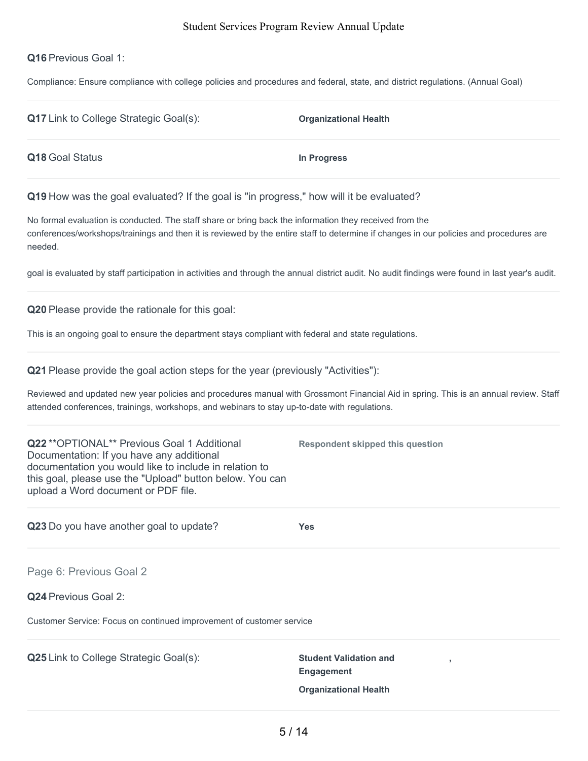## **Q16** Previous Goal 1:

Compliance: Ensure compliance with college policies and procedures and federal, state, and district regulations. (Annual Goal)

| <b>Q17</b> Link to College Strategic Goal(s):                                           | <b>Organizational Health</b> |
|-----------------------------------------------------------------------------------------|------------------------------|
| Q18 Goal Status                                                                         | In Progress                  |
| Q19 How was the goal evaluated? If the goal is "in progress," how will it be evaluated? |                              |

No formal evaluation is conducted. The staff share or bring back the information they received from the conferences/workshops/trainings and then it is reviewed by the entire staff to determine if changes in our policies and procedures are needed.

goal is evaluated by staff participation in activities and through the annual district audit. No audit findings were found in last year's audit.

**Q20** Please provide the rationale for this goal:

This is an ongoing goal to ensure the department stays compliant with federal and state regulations.

| Q21 Please provide the goal action steps for the year (previously "Activities"): |  |  |  |
|----------------------------------------------------------------------------------|--|--|--|
|----------------------------------------------------------------------------------|--|--|--|

Reviewed and updated new year policies and procedures manual with Grossmont Financial Aid in spring. This is an annual review. Staff attended conferences, trainings, workshops, and webinars to stay up-to-date with regulations.

| Q22 ** OPTIONAL ** Previous Goal 1 Additional<br>Documentation: If you have any additional<br>documentation you would like to include in relation to<br>this goal, please use the "Upload" button below. You can<br>upload a Word document or PDF file. | Respondent skipped this question                   |
|---------------------------------------------------------------------------------------------------------------------------------------------------------------------------------------------------------------------------------------------------------|----------------------------------------------------|
| Q23 Do you have another goal to update?                                                                                                                                                                                                                 | <b>Yes</b>                                         |
| Page 6: Previous Goal 2                                                                                                                                                                                                                                 |                                                    |
| <b>Q24</b> Previous Goal 2:                                                                                                                                                                                                                             |                                                    |
| Customer Service: Focus on continued improvement of customer service                                                                                                                                                                                    |                                                    |
| <b>Q25</b> Link to College Strategic Goal(s):                                                                                                                                                                                                           | <b>Student Validation and</b><br><b>Engagement</b> |
|                                                                                                                                                                                                                                                         | <b>Organizational Health</b>                       |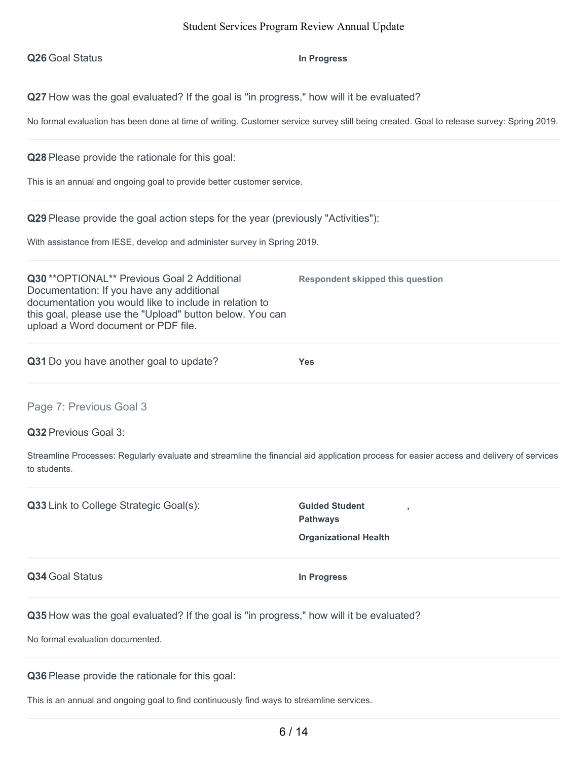**Q26** Goal Status **In Progress**

**Q27** How was the goal evaluated? If the goal is "in progress," how will it be evaluated?

No formal evaluation has been done at time of writing. Customer service survey still being created. Goal to release survey: Spring 2019.

**Q28** Please provide the rationale for this goal:

This is an annual and ongoing goal to provide better customer service.

**Q29** Please provide the goal action steps for the year (previously "Activities"):

With assistance from IESE, develop and administer survey in Spring 2019.

**Q30** \*\*OPTIONAL\*\* Previous Goal 2 Additional Documentation: If you have any additional documentation you would like to include in relation to this goal, please use the "Upload" button below. You can upload a Word document or PDF file.

**Q31** Do you have another goal to update? **Yes**

Page 7: Previous Goal 3

**Q32** Previous Goal 3:

Streamline Processes: Regularly evaluate and streamline the financial aid application process for easier access and delivery of services to students.

**Q33** Link to College Strategic Goal(s): **Guided** Student

**Pathways Organizational Health**

**,**

**Respondent skipped this question**

**Q34** Goal Status **In Progress**

**Q35** How was the goal evaluated? If the goal is "in progress," how will it be evaluated?

No formal evaluation documented.

**Q36** Please provide the rationale for this goal:

This is an annual and ongoing goal to find continuously find ways to streamline services.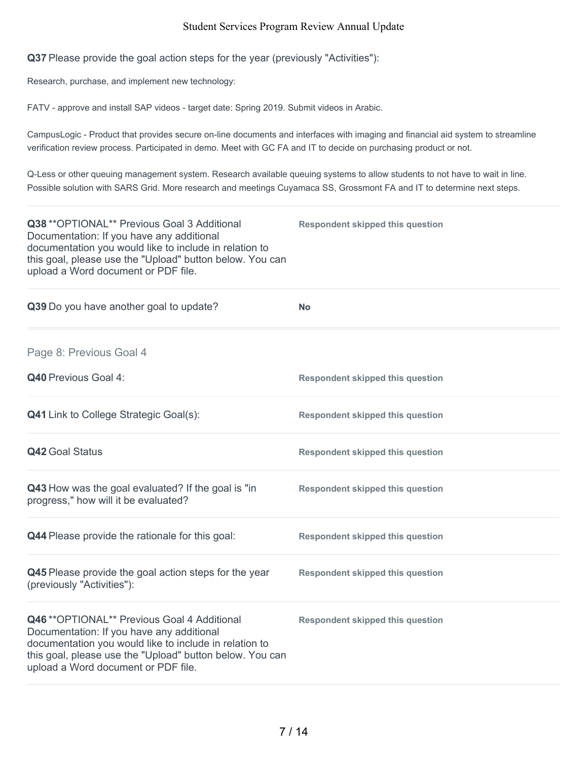**Q37** Please provide the goal action steps for the year (previously "Activities"):

Research, purchase, and implement new technology:

FATV - approve and install SAP videos - target date: Spring 2019. Submit videos in Arabic.

CampusLogic - Product that provides secure on-line documents and interfaces with imaging and financial aid system to streamline verification review process. Participated in demo. Meet with GC FA and IT to decide on purchasing product or not.

Q-Less or other queuing management system. Research available queuing systems to allow students to not have to wait in line. Possible solution with SARS Grid. More research and meetings Cuyamaca SS, Grossmont FA and IT to determine next steps.

| Q38 ** OPTIONAL** Previous Goal 3 Additional<br>Documentation: If you have any additional<br>documentation you would like to include in relation to<br>this goal, please use the "Upload" button below. You can<br>upload a Word document or PDF file. | <b>Respondent skipped this question</b> |
|--------------------------------------------------------------------------------------------------------------------------------------------------------------------------------------------------------------------------------------------------------|-----------------------------------------|
| Q39 Do you have another goal to update?                                                                                                                                                                                                                | <b>No</b>                               |
| Page 8: Previous Goal 4                                                                                                                                                                                                                                |                                         |
| Q40 Previous Goal 4:                                                                                                                                                                                                                                   | <b>Respondent skipped this question</b> |
| <b>Q41</b> Link to College Strategic Goal(s):                                                                                                                                                                                                          | <b>Respondent skipped this question</b> |
| <b>Q42 Goal Status</b>                                                                                                                                                                                                                                 | <b>Respondent skipped this question</b> |
| Q43 How was the goal evaluated? If the goal is "in<br>progress," how will it be evaluated?                                                                                                                                                             | <b>Respondent skipped this question</b> |
| Q44 Please provide the rationale for this goal:                                                                                                                                                                                                        | <b>Respondent skipped this question</b> |
| Q45 Please provide the goal action steps for the year<br>(previously "Activities"):                                                                                                                                                                    | <b>Respondent skipped this question</b> |
| Q46 ** OPTIONAL** Previous Goal 4 Additional<br>Documentation: If you have any additional<br>documentation you would like to include in relation to<br>this goal, please use the "Upload" button below. You can<br>upload a Word document or PDF file. | <b>Respondent skipped this question</b> |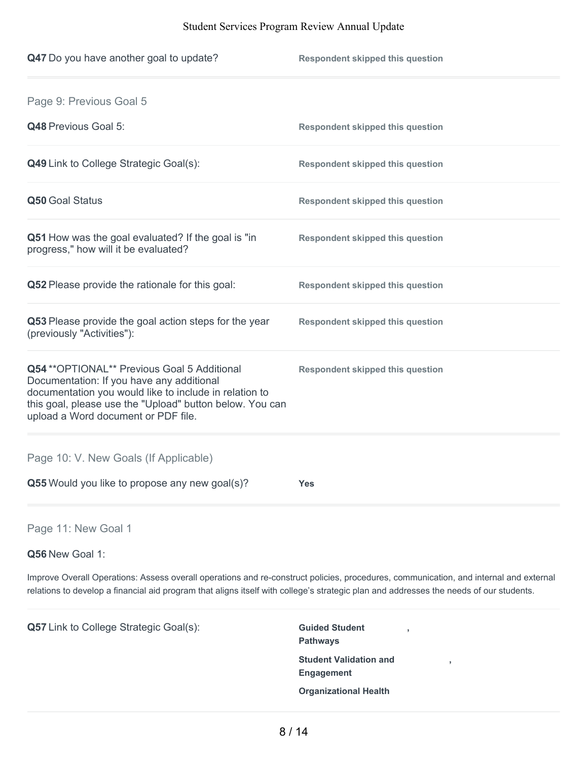| Q47 Do you have another goal to update?                                                                                                                                                                                                                | <b>Respondent skipped this question</b> |
|--------------------------------------------------------------------------------------------------------------------------------------------------------------------------------------------------------------------------------------------------------|-----------------------------------------|
| Page 9: Previous Goal 5                                                                                                                                                                                                                                |                                         |
| Q48 Previous Goal 5:                                                                                                                                                                                                                                   | <b>Respondent skipped this question</b> |
| <b>Q49</b> Link to College Strategic Goal(s):                                                                                                                                                                                                          | <b>Respondent skipped this question</b> |
| Q50 Goal Status                                                                                                                                                                                                                                        | <b>Respondent skipped this question</b> |
| Q51 How was the goal evaluated? If the goal is "in<br>progress," how will it be evaluated?                                                                                                                                                             | <b>Respondent skipped this question</b> |
| Q52 Please provide the rationale for this goal:                                                                                                                                                                                                        | <b>Respondent skipped this question</b> |
| Q53 Please provide the goal action steps for the year<br>(previously "Activities"):                                                                                                                                                                    | <b>Respondent skipped this question</b> |
| Q54 ** OPTIONAL** Previous Goal 5 Additional<br>Documentation: If you have any additional<br>documentation you would like to include in relation to<br>this goal, please use the "Upload" button below. You can<br>upload a Word document or PDF file. | <b>Respondent skipped this question</b> |
| Page 10: V. New Goals (If Applicable)                                                                                                                                                                                                                  |                                         |
| Q55 Would you like to propose any new goal(s)?                                                                                                                                                                                                         | <b>Yes</b>                              |
|                                                                                                                                                                                                                                                        |                                         |

Page 11: New Goal 1

**Q56** New Goal 1:

Improve Overall Operations: Assess overall operations and re-construct policies, procedures, communication, and internal and external relations to develop a financial aid program that aligns itself with college's strategic plan and addresses the needs of our students.

**Q57** Link to College Strategic Goal(s): **Guided Student** 

**Pathways Student Validation and Engagement Organizational Health**

**,**

**,**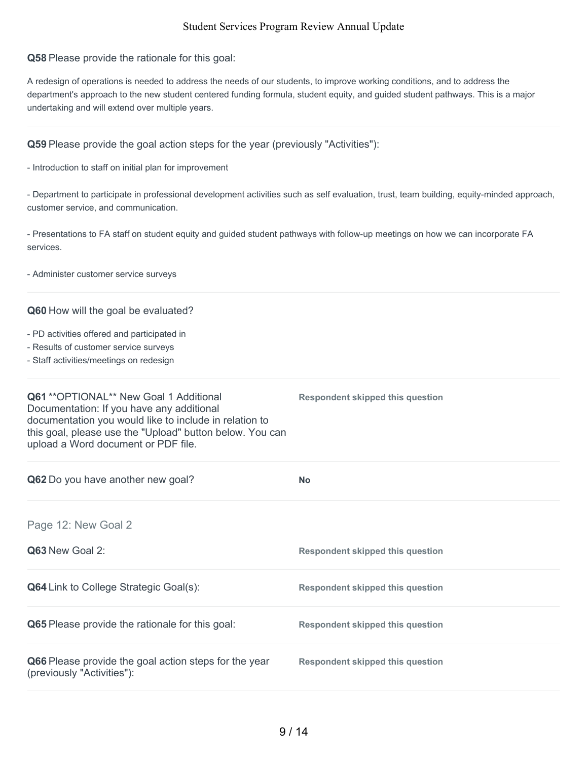**Q58** Please provide the rationale for this goal:

A redesign of operations is needed to address the needs of our students, to improve working conditions, and to address the department's approach to the new student centered funding formula, student equity, and guided student pathways. This is a major undertaking and will extend over multiple years.

**Q59** Please provide the goal action steps for the year (previously "Activities"):

- Introduction to staff on initial plan for improvement

- Department to participate in professional development activities such as self evaluation, trust, team building, equity-minded approach, customer service, and communication.

- Presentations to FA staff on student equity and guided student pathways with follow-up meetings on how we can incorporate FA services.

- Administer customer service surveys

#### **Q60** How will the goal be evaluated?

- PD activities offered and participated in
- Results of customer service surveys
- Staff activities/meetings on redesign

| Q61 ** OPTIONAL** New Goal 1 Additional<br>Documentation: If you have any additional<br>documentation you would like to include in relation to<br>this goal, please use the "Upload" button below. You can<br>upload a Word document or PDF file. | <b>Respondent skipped this question</b> |
|---------------------------------------------------------------------------------------------------------------------------------------------------------------------------------------------------------------------------------------------------|-----------------------------------------|
| Q62 Do you have another new goal?                                                                                                                                                                                                                 | <b>No</b>                               |
| Page 12: New Goal 2                                                                                                                                                                                                                               |                                         |
| Q63 New Goal 2:                                                                                                                                                                                                                                   | <b>Respondent skipped this question</b> |
| <b>Q64</b> Link to College Strategic Goal(s):                                                                                                                                                                                                     | <b>Respondent skipped this question</b> |
| <b>Q65</b> Please provide the rationale for this goal:                                                                                                                                                                                            | <b>Respondent skipped this question</b> |
| Q66 Please provide the goal action steps for the year<br>(previously "Activities"):                                                                                                                                                               | <b>Respondent skipped this question</b> |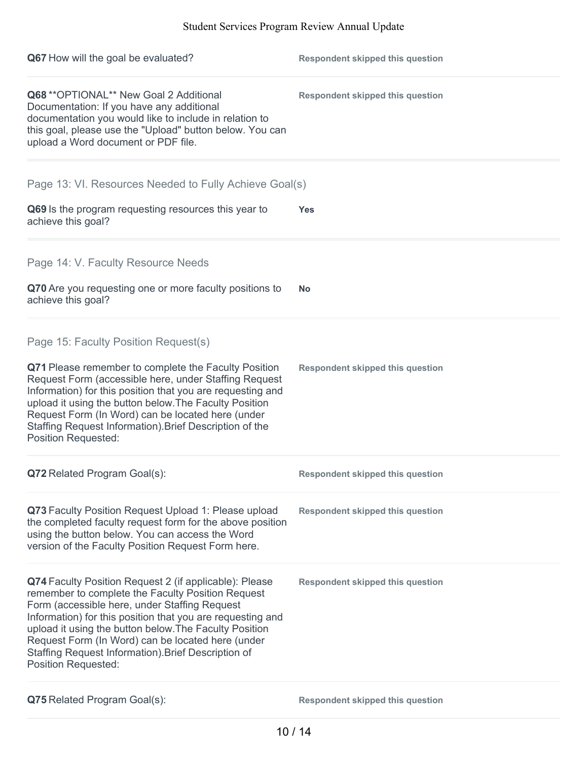| Q67 How will the goal be evaluated?                                                                                                                                                                                                                                                                                                                                                                                            | <b>Respondent skipped this question</b> |
|--------------------------------------------------------------------------------------------------------------------------------------------------------------------------------------------------------------------------------------------------------------------------------------------------------------------------------------------------------------------------------------------------------------------------------|-----------------------------------------|
| Q68 ** OPTIONAL** New Goal 2 Additional<br>Documentation: If you have any additional<br>documentation you would like to include in relation to<br>this goal, please use the "Upload" button below. You can<br>upload a Word document or PDF file.                                                                                                                                                                              | <b>Respondent skipped this question</b> |
| Page 13: VI. Resources Needed to Fully Achieve Goal(s)                                                                                                                                                                                                                                                                                                                                                                         |                                         |
| Q69 Is the program requesting resources this year to<br>achieve this goal?                                                                                                                                                                                                                                                                                                                                                     | <b>Yes</b>                              |
| Page 14: V. Faculty Resource Needs                                                                                                                                                                                                                                                                                                                                                                                             |                                         |
| Q70 Are you requesting one or more faculty positions to<br>achieve this goal?                                                                                                                                                                                                                                                                                                                                                  | <b>No</b>                               |
| Page 15: Faculty Position Request(s)                                                                                                                                                                                                                                                                                                                                                                                           |                                         |
| Q71 Please remember to complete the Faculty Position<br>Request Form (accessible here, under Staffing Request<br>Information) for this position that you are requesting and<br>upload it using the button below. The Faculty Position<br>Request Form (In Word) can be located here (under<br>Staffing Request Information). Brief Description of the<br><b>Position Requested:</b>                                            | <b>Respondent skipped this question</b> |
| Q72 Related Program Goal(s):                                                                                                                                                                                                                                                                                                                                                                                                   | <b>Respondent skipped this question</b> |
| Q73 Faculty Position Request Upload 1: Please upload<br>the completed faculty request form for the above position<br>using the button below. You can access the Word<br>version of the Faculty Position Request Form here.                                                                                                                                                                                                     | <b>Respondent skipped this question</b> |
| Q74 Faculty Position Request 2 (if applicable): Please<br>remember to complete the Faculty Position Request<br>Form (accessible here, under Staffing Request<br>Information) for this position that you are requesting and<br>upload it using the button below. The Faculty Position<br>Request Form (In Word) can be located here (under<br>Staffing Request Information). Brief Description of<br><b>Position Requested:</b> | <b>Respondent skipped this question</b> |
| Q75 Related Program Goal(s):                                                                                                                                                                                                                                                                                                                                                                                                   | <b>Respondent skipped this question</b> |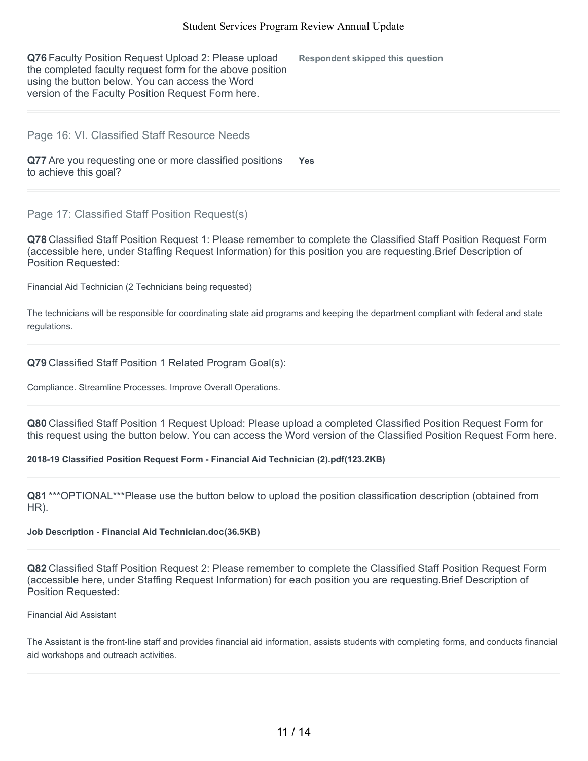**Q76** Faculty Position Request Upload 2: Please upload the completed faculty request form for the above position using the button below. You can access the Word version of the Faculty Position Request Form here. **Respondent skipped this question**

### Page 16: VI. Classified Staff Resource Needs

**Q77** Are you requesting one or more classified positions to achieve this goal? **Yes**

Page 17: Classified Staff Position Request(s)

**Q78** Classified Staff Position Request 1: Please remember to complete the Classified Staff Position Request Form (accessible here, under Staffing Request Information) for this position you are requesting.Brief Description of Position Requested:

Financial Aid Technician (2 Technicians being requested)

The technicians will be responsible for coordinating state aid programs and keeping the department compliant with federal and state regulations.

**Q79** Classified Staff Position 1 Related Program Goal(s):

Compliance. Streamline Processes. Improve Overall Operations.

**Q80** Classified Staff Position 1 Request Upload: Please upload a completed Classified Position Request Form for this request using the button below. You can access the Word version of the Classified Position Request Form here.

#### **2018-19 Classified Position Request Form - Financial Aid Technician (2).pdf(123.2KB)**

**Q81** \*\*\*OPTIONAL\*\*\*Please use the button below to upload the position classification description (obtained from HR).

#### **Job Description - Financial Aid Technician.doc(36.5KB)**

**Q82** Classified Staff Position Request 2: Please remember to complete the Classified Staff Position Request Form (accessible here, under Staffing Request Information) for each position you are requesting.Brief Description of Position Requested:

#### Financial Aid Assistant

The Assistant is the front-line staff and provides financial aid information, assists students with completing forms, and conducts financial aid workshops and outreach activities.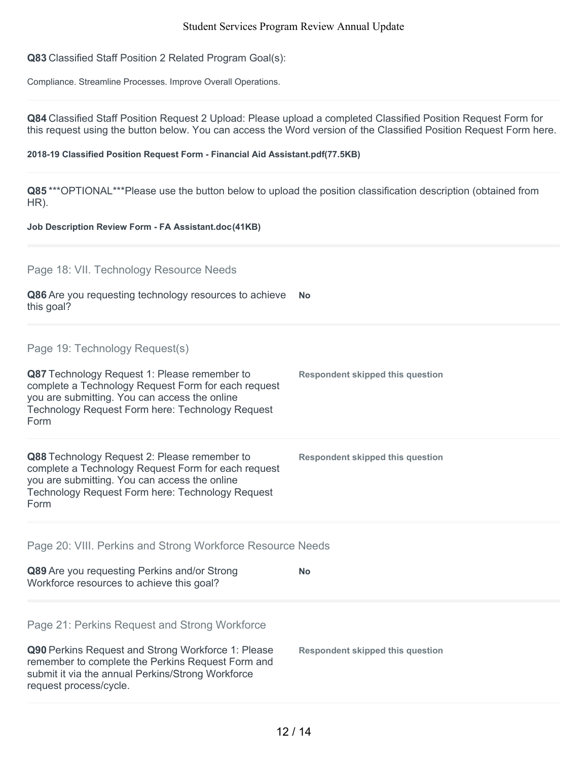**Q83** Classified Staff Position 2 Related Program Goal(s):

Compliance. Streamline Processes. Improve Overall Operations.

**Q84** Classified Staff Position Request 2 Upload: Please upload a completed Classified Position Request Form for this request using the button below. You can access the Word version of the Classified Position Request Form here.

#### **2018-19 Classified Position Request Form - Financial Aid Assistant.pdf(77.5KB)**

**Q85** \*\*\*OPTIONAL\*\*\*Please use the button below to upload the position classification description (obtained from HR).

#### **Job Description Review Form - FA Assistant.doc(41KB)**

Page 18: VII. Technology Resource Needs

| Q86 Are you requesting technology resources to achieve | <b>No</b> |
|--------------------------------------------------------|-----------|
| this goal?                                             |           |

Page 19: Technology Request(s)

| Q87 Technology Request 1: Please remember to<br>complete a Technology Request Form for each request<br>you are submitting. You can access the online<br>Technology Request Form here: Technology Request<br>Form | <b>Respondent skipped this question</b> |
|------------------------------------------------------------------------------------------------------------------------------------------------------------------------------------------------------------------|-----------------------------------------|
| Q88 Technology Request 2: Please remember to<br>complete a Technology Request Form for each request<br>you are submitting. You can access the online<br>Technology Request Form here: Technology Request<br>Form | <b>Respondent skipped this question</b> |

Page 20: VIII. Perkins and Strong Workforce Resource Needs

| Q89 Are you requesting Perkins and/or Strong<br>Workforce resources to achieve this goal?                                                                                              | No                               |
|----------------------------------------------------------------------------------------------------------------------------------------------------------------------------------------|----------------------------------|
| Page 21: Perkins Request and Strong Workforce                                                                                                                                          |                                  |
| Q90 Perkins Request and Strong Workforce 1: Please<br>remember to complete the Perkins Request Form and<br>submit it via the annual Perkins/Strong Workforce<br>request process/cycle. | Respondent skipped this question |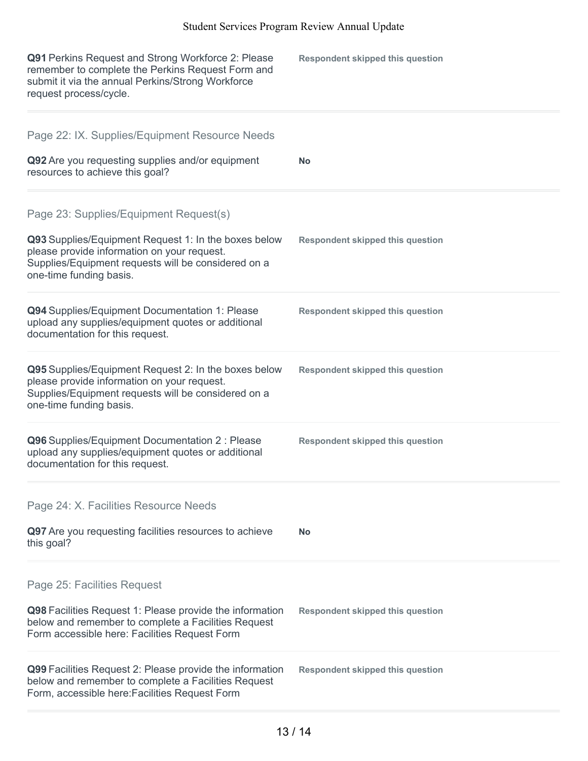| Q91 Perkins Request and Strong Workforce 2: Please<br>remember to complete the Perkins Request Form and<br>submit it via the annual Perkins/Strong Workforce<br>request process/cycle.                                          | <b>Respondent skipped this question</b> |
|---------------------------------------------------------------------------------------------------------------------------------------------------------------------------------------------------------------------------------|-----------------------------------------|
| Page 22: IX. Supplies/Equipment Resource Needs<br>Q92 Are you requesting supplies and/or equipment<br>resources to achieve this goal?                                                                                           | <b>No</b>                               |
| Page 23: Supplies/Equipment Request(s)<br>Q93 Supplies/Equipment Request 1: In the boxes below<br>please provide information on your request.<br>Supplies/Equipment requests will be considered on a<br>one-time funding basis. | <b>Respondent skipped this question</b> |
| Q94 Supplies/Equipment Documentation 1: Please<br>upload any supplies/equipment quotes or additional<br>documentation for this request.                                                                                         | <b>Respondent skipped this question</b> |
| Q95 Supplies/Equipment Request 2: In the boxes below<br>please provide information on your request.<br>Supplies/Equipment requests will be considered on a<br>one-time funding basis.                                           | <b>Respondent skipped this question</b> |
| Q96 Supplies/Equipment Documentation 2 : Please<br>upload any supplies/equipment quotes or additional<br>documentation for this request.                                                                                        | <b>Respondent skipped this question</b> |
| Page 24: X. Facilities Resource Needs<br>Q97 Are you requesting facilities resources to achieve                                                                                                                                 |                                         |
| this goal?                                                                                                                                                                                                                      | <b>No</b>                               |
| Page 25: Facilities Request                                                                                                                                                                                                     |                                         |
| Q98 Facilities Request 1: Please provide the information<br>below and remember to complete a Facilities Request<br>Form accessible here: Facilities Request Form                                                                | <b>Respondent skipped this question</b> |
| Q99 Facilities Request 2: Please provide the information<br>below and remember to complete a Facilities Request<br>Form, accessible here: Facilities Request Form                                                               | <b>Respondent skipped this question</b> |